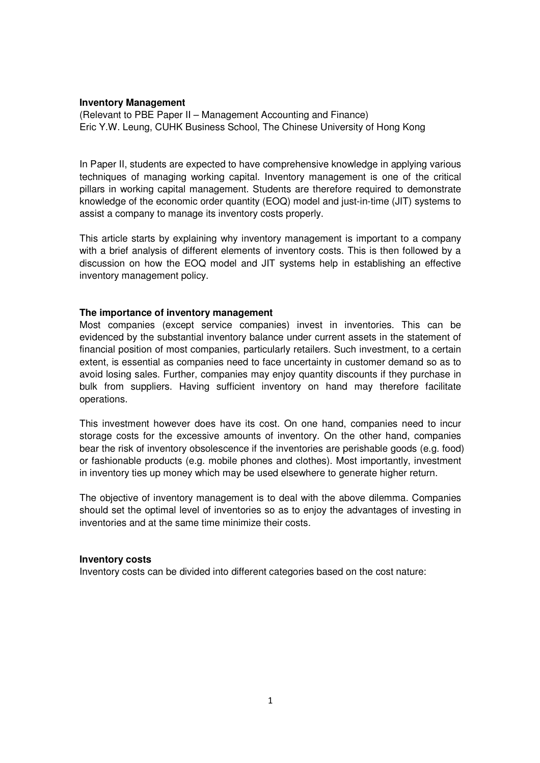# **Inventory Management**

(Relevant to PBE Paper II – Management Accounting and Finance) Eric Y.W. Leung, CUHK Business School, The Chinese University of Hong Kong

In Paper II, students are expected to have comprehensive knowledge in applying various techniques of managing working capital. Inventory management is one of the critical pillars in working capital management. Students are therefore required to demonstrate knowledge of the economic order quantity (EOQ) model and just-in-time (JIT) systems to assist a company to manage its inventory costs properly.

This article starts by explaining why inventory management is important to a company with a brief analysis of different elements of inventory costs. This is then followed by a discussion on how the EOQ model and JIT systems help in establishing an effective inventory management policy.

# **The importance of inventory management**

Most companies (except service companies) invest in inventories. This can be evidenced by the substantial inventory balance under current assets in the statement of financial position of most companies, particularly retailers. Such investment, to a certain extent, is essential as companies need to face uncertainty in customer demand so as to avoid losing sales. Further, companies may enjoy quantity discounts if they purchase in bulk from suppliers. Having sufficient inventory on hand may therefore facilitate operations.

This investment however does have its cost. On one hand, companies need to incur storage costs for the excessive amounts of inventory. On the other hand, companies bear the risk of inventory obsolescence if the inventories are perishable goods (e.g. food) or fashionable products (e.g. mobile phones and clothes). Most importantly, investment in inventory ties up money which may be used elsewhere to generate higher return.

The objective of inventory management is to deal with the above dilemma. Companies should set the optimal level of inventories so as to enjoy the advantages of investing in inventories and at the same time minimize their costs.

### **Inventory costs**

Inventory costs can be divided into different categories based on the cost nature: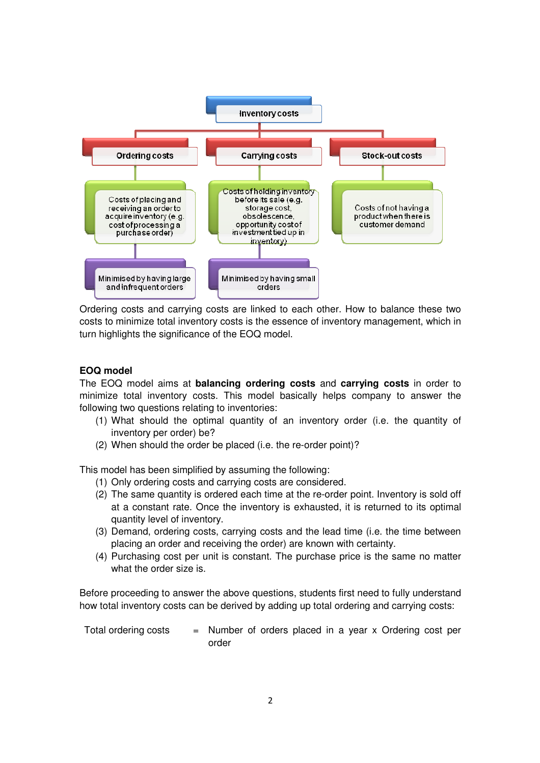

Ordering costs and carrying costs are linked to each other. How to balance these two costs to minimize total inventory costs is the essence of inventory management, which in turn highlights the significance of the EOQ model.

### **EOQ model**

The EOQ model aims at **balancing ordering costs** and **carrying costs** in order to minimize total inventory costs. This model basically helps company to answer the following two questions relating to inventories:

- (1) What should the optimal quantity of an inventory order (i.e. the quantity of inventory per order) be?
- (2) When should the order be placed (i.e. the re-order point)?

This model has been simplified by assuming the following:

- (1) Only ordering costs and carrying costs are considered.
- (2) The same quantity is ordered each time at the re-order point. Inventory is sold off at a constant rate. Once the inventory is exhausted, it is returned to its optimal quantity level of inventory.
- (3) Demand, ordering costs, carrying costs and the lead time (i.e. the time between placing an order and receiving the order) are known with certainty.
- (4) Purchasing cost per unit is constant. The purchase price is the same no matter what the order size is.

Before proceeding to answer the above questions, students first need to fully understand how total inventory costs can be derived by adding up total ordering and carrying costs:

Total ordering costs  $=$  Number of orders placed in a year x Ordering cost per order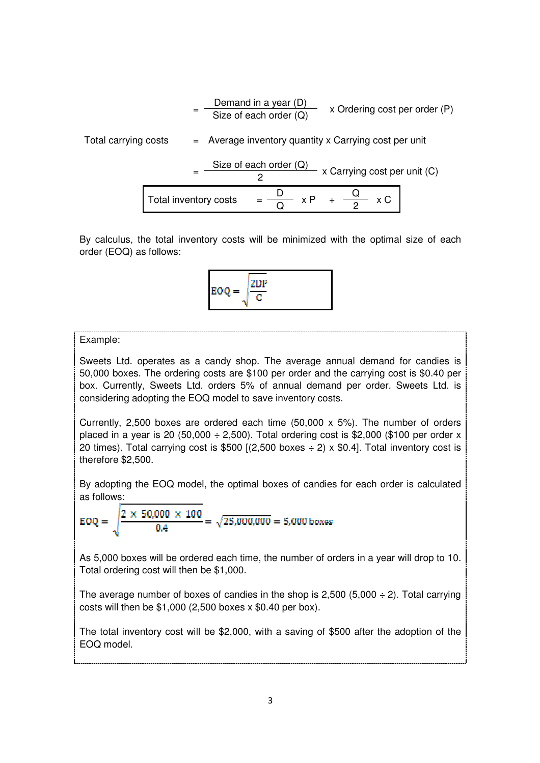$$
= \frac{\text{Demand in a year (D)}}{\text{Size of each order (Q)}} \times \text{Ordering cost per order (P)}
$$
\nTotal carrying costs

\n
$$
= \frac{\text{Nize of each order (Q)}}{2} \times \text{Carrying cost per unit}
$$
\n
$$
= \frac{\text{Size of each order (Q)}}{2} \times \text{Carrying cost per unit (C)}
$$
\nTotal inventory costs

\n
$$
= \frac{D}{Q} \times P + \frac{Q}{2} \times C
$$

By calculus, the total inventory costs will be minimized with the optimal size of each order (EOQ) as follows:



#### Example:

Sweets Ltd. operates as a candy shop. The average annual demand for candies is 50,000 boxes. The ordering costs are \$100 per order and the carrying cost is \$0.40 per box. Currently, Sweets Ltd. orders 5% of annual demand per order. Sweets Ltd. is considering adopting the EOQ model to save inventory costs.

Currently, 2,500 boxes are ordered each time  $(50,000 \times 5\%)$ . The number of orders placed in a year is 20 (50,000  $\div$  2,500). Total ordering cost is \$2,000 (\$100 per order x 20 times). Total carrying cost is \$500 [(2,500 boxes  $\div$  2) x \$0.4]. Total inventory cost is therefore \$2,500.

By adopting the EOQ model, the optimal boxes of candies for each order is calculated as follows:

$$
EOQ = \sqrt{\frac{2 \times 50,000 \times 100}{0.4}} = \sqrt{25,000,000} = 5,000 \text{ boxes}
$$

As 5,000 boxes will be ordered each time, the number of orders in a year will drop to 10. Total ordering cost will then be \$1,000.

The average number of boxes of candies in the shop is  $2,500$  (5,000  $\div$  2). Total carrying costs will then be \$1,000 (2,500 boxes x \$0.40 per box).

The total inventory cost will be \$2,000, with a saving of \$500 after the adoption of the EOQ model.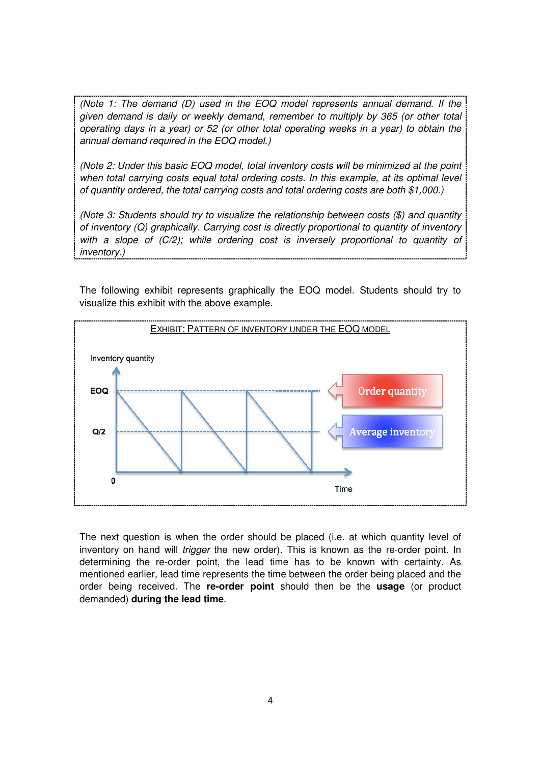*(Note 1: The demand (D) used in the EOQ model represents annual demand. If the given demand is daily or weekly demand, remember to multiply by 365 (or other total operating days in a year) or 52 (or other total operating weeks in a year) to obtain the annual demand required in the EOQ model.)* 

*(Note 2: Under this basic EOQ model, total inventory costs will be minimized at the point when total carrying costs equal total ordering costs. In this example, at its optimal level of quantity ordered, the total carrying costs and total ordering costs are both \$1,000.)* 

*(Note 3: Students should try to visualize the relationship between costs (\$) and quantity of inventory (Q) graphically. Carrying cost is directly proportional to quantity of inventory with a slope of (C/2); while ordering cost is inversely proportional to quantity of inventory.)* 

The following exhibit represents graphically the EOQ model. Students should try to visualize this exhibit with the above example.



The next question is when the order should be placed (i.e. at which quantity level of inventory on hand will *trigger* the new order). This is known as the re-order point. In determining the re-order point, the lead time has to be known with certainty. As mentioned earlier, lead time represents the time between the order being placed and the order being received. The **re-order point** should then be the **usage** (or product demanded) **during the lead time**.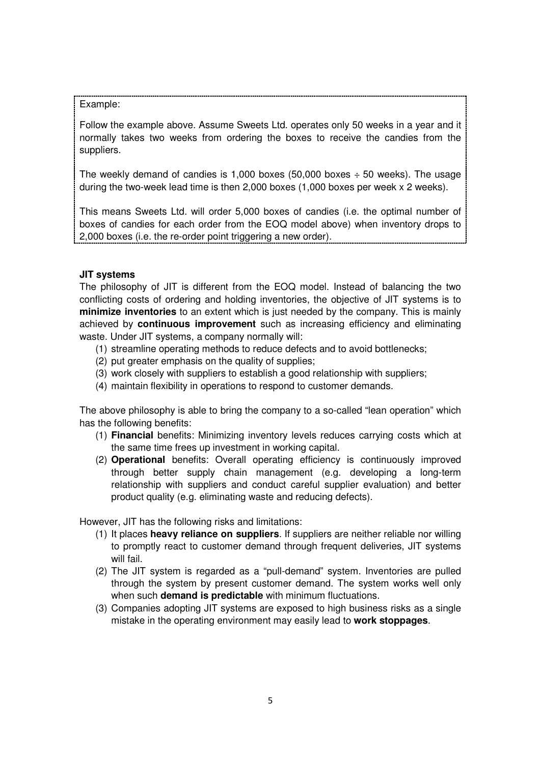# Example:

Follow the example above. Assume Sweets Ltd. operates only 50 weeks in a year and it normally takes two weeks from ordering the boxes to receive the candies from the suppliers.

The weekly demand of candies is 1,000 boxes (50,000 boxes  $\div$  50 weeks). The usage during the two-week lead time is then 2,000 boxes (1,000 boxes per week x 2 weeks).

This means Sweets Ltd. will order 5,000 boxes of candies (i.e. the optimal number of boxes of candies for each order from the EOQ model above) when inventory drops to 2,000 boxes (i.e. the re-order point triggering a new order).

# **JIT systems**

The philosophy of JIT is different from the EOQ model. Instead of balancing the two conflicting costs of ordering and holding inventories, the objective of JIT systems is to **minimize inventories** to an extent which is just needed by the company. This is mainly achieved by **continuous improvement** such as increasing efficiency and eliminating waste. Under JIT systems, a company normally will:

- (1) streamline operating methods to reduce defects and to avoid bottlenecks;
- (2) put greater emphasis on the quality of supplies;
- (3) work closely with suppliers to establish a good relationship with suppliers;
- (4) maintain flexibility in operations to respond to customer demands.

The above philosophy is able to bring the company to a so-called "lean operation" which has the following benefits:

- (1) **Financial** benefits: Minimizing inventory levels reduces carrying costs which at the same time frees up investment in working capital.
- (2) **Operational** benefits: Overall operating efficiency is continuously improved through better supply chain management (e.g. developing a long-term relationship with suppliers and conduct careful supplier evaluation) and better product quality (e.g. eliminating waste and reducing defects).

However, JIT has the following risks and limitations:

- (1) It places **heavy reliance on suppliers**. If suppliers are neither reliable nor willing to promptly react to customer demand through frequent deliveries, JIT systems will fail.
- (2) The JIT system is regarded as a "pull-demand" system. Inventories are pulled through the system by present customer demand. The system works well only when such **demand is predictable** with minimum fluctuations.
- (3) Companies adopting JIT systems are exposed to high business risks as a single mistake in the operating environment may easily lead to **work stoppages**.